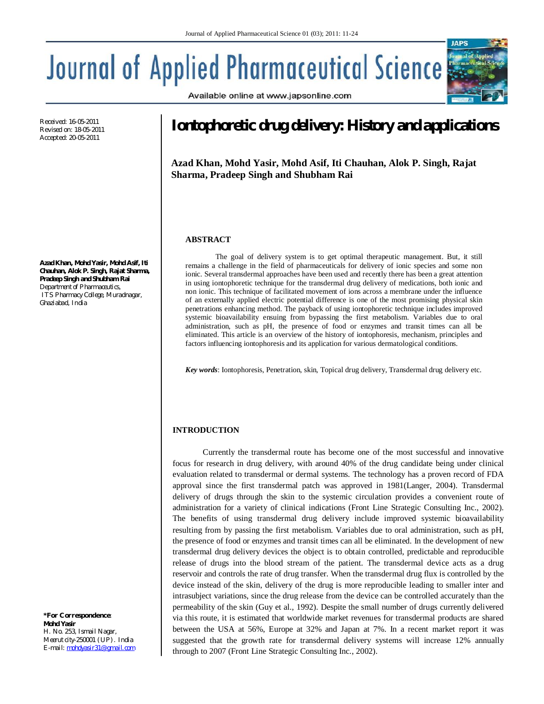Available online at www.japsonline.com

# **Journal of Applied Pharmaceutical Science**

Received: 16-05-2011 Revised on: 18-05-2011 Accepted: 20-05-2011

**Azad Khan, Mohd Yasir, Mohd Asif, Iti Chauhan, Alok P. Singh, Rajat Sharma, Pradeep Singh and Shubham Rai** *Department of Pharmaceutics, ITS Pharmacy College, Muradnagar, Ghaziabad, India*

*\*For Correspondence:*  **Mohd Yasir** *H. No. 253, Ismail Nagar, Meerut city-250001 (UP). India E-mail: mohdyasir31@gmail.com*

# **Iontophoretic drug delivery: History and applications**

**Azad Khan, Mohd Yasir, Mohd Asif, Iti Chauhan, Alok P. Singh, Rajat Sharma, Pradeep Singh and Shubham Rai**

# **ABSTRACT**

The goal of delivery system is to get optimal therapeutic management. But, it still remains a challenge in the field of pharmaceuticals for delivery of ionic species and some non ionic. Several transdermal approaches have been used and recently there has been a great attention in using iontophoretic technique for the transdermal drug delivery of medications, both ionic and non ionic. This technique of facilitated movement of ions across a membrane under the influence of an externally applied electric potential difference is one of the most promising physical skin penetrations enhancing method. The payback of using iontophoretic technique includes improved systemic bioavailability ensuing from bypassing the first metabolism. Variables due to oral administration, such as pH, the presence of food or enzymes and transit times can all be eliminated. This article is an overview of the history of iontophoresis, mechanism, principles and factors influencing iontophoresis and its application for various dermatological conditions.

*Key words*: Iontophoresis, Penetration, skin, Topical drug delivery, Transdermal drug delivery etc.

# **INTRODUCTION**

Currently the transdermal route has become one of the most successful and innovative focus for research in drug delivery, with around 40% of the drug candidate being under clinical evaluation related to transdermal or dermal systems. The technology has a proven record of FDA approval since the first transdermal patch was approved in 1981(Langer, 2004). Transdermal delivery of drugs through the skin to the systemic circulation provides a convenient route of administration for a variety of clinical indications (Front Line Strategic Consulting Inc., 2002). The benefits of using transdermal drug delivery include improved systemic bioavailability resulting from by passing the first metabolism. Variables due to oral administration, such as pH, the presence of food or enzymes and transit times can all be eliminated. In the development of new transdermal drug delivery devices the object is to obtain controlled, predictable and reproducible release of drugs into the blood stream of the patient. The transdermal device acts as a drug reservoir and controls the rate of drug transfer. When the transdermal drug flux is controlled by the device instead of the skin, delivery of the drug is more reproducible leading to smaller inter and intrasubject variations, since the drug release from the device can be controlled accurately than the permeability of the skin (Guy et al., 1992). Despite the small number of drugs currently delivered via this route, it is estimated that worldwide market revenues for transdermal products are shared between the USA at 56%, Europe at 32% and Japan at 7%. In a recent market report it was suggested that the growth rate for transdermal delivery systems will increase 12% annually through to 2007 (Front Line Strategic Consulting Inc., 2002).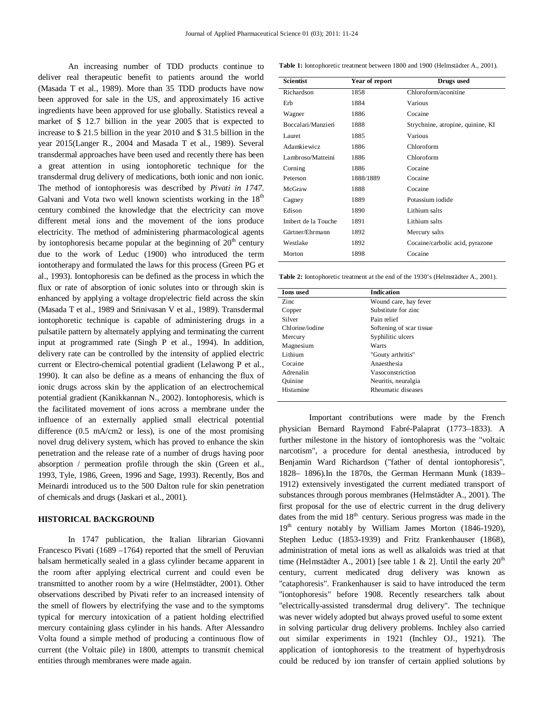An increasing number of TDD products continue to deliver real therapeutic benefit to patients around the world (Masada T et al., 1989). More than 35 TDD products have now been approved for sale in the US, and approximately 16 active ingredients have been approved for use globally. Statistics reveal a market of \$ 12.7 billion in the year 2005 that is expected to increase to \$ 21.5 billion in the year 2010 and \$ 31.5 billion in the year 2015(Langer R., 2004 and Masada T et al., 1989). Several transdermal approaches have been used and recently there has been a great attention in using iontophoretic technique for the transdermal drug delivery of medications, both ionic and non ionic. The method of iontophoresis was described by *Pivati in 1747*. Galvani and Vota two well known scientists working in the  $18<sup>th</sup>$ century combined the knowledge that the electricity can move different metal ions and the movement of the ions produce electricity. The method of administering pharmacological agents by iontophoresis became popular at the beginning of  $20<sup>th</sup>$  century due to the work of Leduc (1900) who introduced the term iontotherapy and formulated the laws for this process (Green PG et al., 1993). Iontophoresis can be defined as the process in which the flux or rate of absorption of ionic solutes into or through skin is enhanced by applying a voltage drop/electric field across the skin (Masada T et al., 1989 and Srinivasan V et al., 1989). Transdermal iontophoretic technique is capable of administering drugs in a pulsatile pattern by alternately applying and terminating the current input at programmed rate (Singh P et al., 1994). In addition, delivery rate can be controlled by the intensity of applied electric current or Electro-chemical potential gradient (Lelawong P et al., 1990). It can also be define as a means of enhancing the flux of ionic drugs across skin by the application of an electrochemical potential gradient (Kanikkannan N., 2002). Iontophoresis, which is the facilitated movement of ions across a membrane under the influence of an externally applied small electrical potential difference (0.5 mA/cm2 or less), is one of the most promising novel drug delivery system, which has proved to enhance the skin penetration and the release rate of a number of drugs having poor absorption / permeation profile through the skin (Green et al., 1993, Tyle, 1986, Green, 1996 and Sage, 1993). Recently, Bos and Meinardi introduced us to the 500 Dalton rule for skin penetration of chemicals and drugs (Jaskari et al., 2001).

# **HISTORICAL BACKGROUND**

In 1747 publication, the Italian librarian Giovanni Francesco Pivati (1689 –1764) reported that the smell of Peruvian balsam hermetically sealed in a glass cylinder became apparent in the room after applying electrical current and could even be transmitted to another room by a wire (Helmstädter, 2001). Other observations described by Pivati refer to an increased intensity of the smell of flowers by electrifying the vase and to the symptoms typical for mercury intoxication of a patient holding electrified mercury containing glass cylinder in his hands. After Alessandro Volta found a simple method of producing a continuous flow of current (the Voltaic pile) in 1800, attempts to transmit chemical entities through membranes were made again.

**Table 1:** Iontophoretic treatment between 1800 and 1900 (Helmstädter A., 2001).

| <b>Scientist</b>    | Year of report | Drugs used                        |
|---------------------|----------------|-----------------------------------|
| Richardson          | 1858           | Chloroform/aconitine              |
| Erb                 | 1884           | Various                           |
| Wagner              | 1886           | Cocaine                           |
| Boccalari/Manzieri  | 1888           | Strychnine, atropine, quinine, KI |
| Lauret              | 1885           | Various                           |
| Adamkiewicz         | 1886           | Chloroform                        |
| Lambroso/Matteini   | 1886           | Chloroform                        |
| Corning             | 1886           | Cocaine                           |
| Peterson            | 1888/1889      | Cocaine                           |
| McGraw              | 1888           | Cocaine                           |
| Cagney              | 1889           | Potassium iodide                  |
| Edison              | 1890           | Lithium salts                     |
| Imbert de la Touche | 1891           | Lithium salts                     |
| Gärtner/Ehrmann     | 1892           | Mercury salts                     |
| Westlake            | 1892           | Cocaine/carbolic acid, pyrazone   |
| Morton              | 1898           | Cocaine                           |

**Table 2:** Iontophoretic treatment at the end of the 1930's (Helmstädter A., 2001).

| <b>Ions</b> used | <b>Indication</b>        |
|------------------|--------------------------|
| Zinc             | Wound care, hay fever    |
| Copper           | Substitute for zinc.     |
| Silver           | Pain relief              |
| Chlorine/iodine  | Softening of scar tissue |
| Mercury          | Syphilitic ulcers        |
| Magnesium        | Warts                    |
| Lithium          | "Gouty arthritis"        |
| Cocaine          | Anaesthesia              |
| Adrenalin        | Vasoconstriction         |
| Ouinine          | Neuritis, neuralgia      |
| Histamine        | Rheumatic diseases       |

Important contributions were made by the French physician Bernard Raymond Fabré-Palaprat (1773–1833). A further milestone in the history of iontophoresis was the "voltaic narcotism", a procedure for dental anesthesia, introduced by Benjamin Ward Richardson ("father of dental iontophoresis", 1828– 1896).In the 1870s, the German Hermann Munk (1839– 1912) extensively investigated the current mediated transport of substances through porous membranes (Helmstädter A., 2001). The first proposal for the use of electric current in the drug delivery dates from the mid  $18<sup>th</sup>$  century. Serious progress was made in the  $19<sup>th</sup>$  century notably by William James Morton (1846-1920), Stephen Leduc (1853-1939) and Fritz Frankenhauser (1868), administration of metal ions as well as alkaloids was tried at that time (Helmstädter A., 2001) [see table 1 & 2]. Until the early  $20<sup>th</sup>$ century, current medicated drug delivery was known as "cataphoresis". Frankenhauser is said to have introduced the term "iontophoresis" before 1908. Recently researchers talk about "electrically-assisted transdermal drug delivery". The technique was never widely adopted but always proved useful to some extent in solving particular drug delivery problems. Inchley also carried out similar experiments in 1921 (Inchley OJ., 1921). The application of iontophoresis to the treatment of hyperhydrosis could be reduced by ion transfer of certain applied solutions by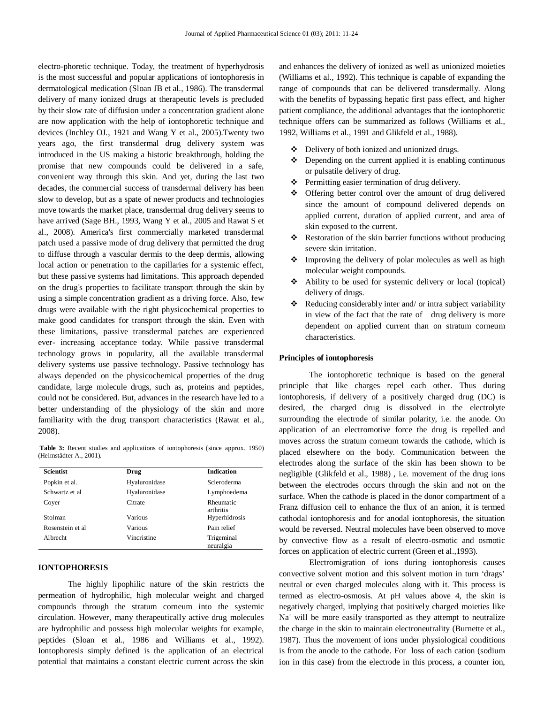electro-phoretic technique. Today, the treatment of hyperhydrosis is the most successful and popular applications of iontophoresis in dermatological medication (Sloan JB et al., 1986). The transdermal delivery of many ionized drugs at therapeutic levels is precluded by their slow rate of diffusion under a concentration gradient alone are now application with the help of iontophoretic technique and devices (Inchley OJ., 1921 and Wang Y et al., 2005).Twenty two years ago, the first transdermal drug delivery system was introduced in the US making a historic breakthrough, holding the promise that new compounds could be delivered in a safe, convenient way through this skin. And yet, during the last two decades, the commercial success of transdermal delivery has been slow to develop, but as a spate of newer products and technologies move towards the market place, transdermal drug delivery seems to have arrived (Sage BH., 1993, Wang Y et al., 2005 and Rawat S et al., 2008). America's first commercially marketed transdermal patch used a passive mode of drug delivery that permitted the drug to diffuse through a vascular dermis to the deep dermis, allowing local action or penetration to the capillaries for a systemic effect, but these passive systems had limitations. This approach depended on the drug's properties to facilitate transport through the skin by using a simple concentration gradient as a driving force. Also, few drugs were available with the right physicochemical properties to make good candidates for transport through the skin. Even with these limitations, passive transdermal patches are experienced ever- increasing acceptance today. While passive transdermal technology grows in popularity, all the available transdermal delivery systems use passive technology. Passive technology has always depended on the physicochemical properties of the drug candidate, large molecule drugs, such as, proteins and peptides, could not be considered. But, advances in the research have led to a better understanding of the physiology of the skin and more familiarity with the drug transport characteristics (Rawat et al., 2008).

**Table 3:** Recent studies and applications of iontophoresis (since approx. 1950) (Helmstädter A., 2001).

| <b>Scientist</b>  | Drug          | <b>Indication</b>       |
|-------------------|---------------|-------------------------|
| Popkin et al.     | Hyaluronidase | Scleroderma             |
| Schwartz et al    | Hyaluronidase | Lymphoedema             |
| Coyer             | Citrate       | Rheumatic<br>arthritis  |
| Stolman           | Various       | Hyperhidrosis           |
| Rosenstein et al. | Various       | Pain relief             |
| Albrecht          | Vincristine   | Trigeminal<br>neuralgia |

# **IONTOPHORESIS**

The highly lipophilic nature of the skin restricts the permeation of hydrophilic, high molecular weight and charged compounds through the stratum corneum into the systemic circulation. However, many therapeutically active drug molecules are hydrophilic and possess high molecular weights for example, peptides (Sloan et al., 1986 and Williams et al., 1992). Iontophoresis simply defined is the application of an electrical potential that maintains a constant electric current across the skin

and enhances the delivery of ionized as well as unionized moieties (Williams et al., 1992). This technique is capable of expanding the range of compounds that can be delivered transdermally. Along with the benefits of bypassing hepatic first pass effect, and higher patient compliance, the additional advantages that the iontophoretic technique offers can be summarized as follows (Williams et al., 1992, Williams et al., 1991 and Glikfeld et al., 1988).

- Delivery of both ionized and unionized drugs.
- $\triangle$  Depending on the current applied it is enabling continuous or pulsatile delivery of drug.
- Permitting easier termination of drug delivery.
- Offering better control over the amount of drug delivered since the amount of compound delivered depends on applied current, duration of applied current, and area of skin exposed to the current.
- Restoration of the skin barrier functions without producing severe skin irritation.
- Improving the delivery of polar molecules as well as high molecular weight compounds.
- Ability to be used for systemic delivery or local (topical) delivery of drugs.
- Reducing considerably inter and/ or intra subject variability in view of the fact that the rate of drug delivery is more dependent on applied current than on stratum corneum characteristics.

# **Principles of iontophoresis**

The iontophoretic technique is based on the general principle that like charges repel each other. Thus during iontophoresis, if delivery of a positively charged drug (DC) is desired, the charged drug is dissolved in the electrolyte surrounding the electrode of similar polarity, i.e. the anode. On application of an electromotive force the drug is repelled and moves across the stratum corneum towards the cathode, which is placed elsewhere on the body. Communication between the electrodes along the surface of the skin has been shown to be negligible (Glikfeld et al., 1988) , i.e. movement of the drug ions between the electrodes occurs through the skin and not on the surface. When the cathode is placed in the donor compartment of a Franz diffusion cell to enhance the flux of an anion, it is termed cathodal iontophoresis and for anodal iontophoresis, the situation would be reversed. Neutral molecules have been observed to move by convective flow as a result of electro-osmotic and osmotic forces on application of electric current (Green et al.,1993).

Electromigration of ions during iontophoresis causes convective solvent motion and this solvent motion in turn 'drags' neutral or even charged molecules along with it. This process is termed as electro-osmosis. At pH values above 4, the skin is negatively charged, implying that positively charged moieties like  $Na<sup>+</sup>$  will be more easily transported as they attempt to neutralize the charge in the skin to maintain electroneutrality (Burnette et al., 1987). Thus the movement of ions under physiological conditions is from the anode to the cathode. For loss of each cation (sodium ion in this case) from the electrode in this process, a counter ion,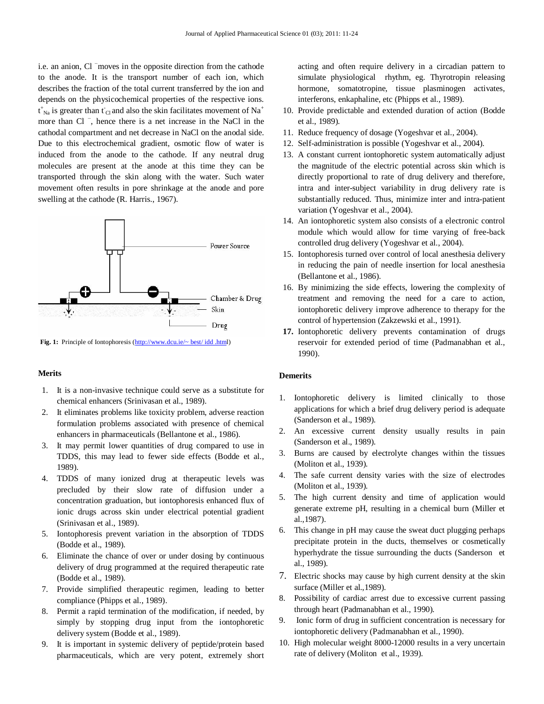i.e. an anion, Cl <sup>−</sup>moves in the opposite direction from the cathode to the anode. It is the transport number of each ion, which describes the fraction of the total current transferred by the ion and depends on the physicochemical properties of the respective ions.  $t_{\text{Na}}^*$  is greater than  $t_{\text{Cl}}$  and also the skin facilitates movement of Na<sup>+</sup> more than Cl <sup>−</sup> , hence there is a net increase in the NaCl in the cathodal compartment and net decrease in NaCl on the anodal side. Due to this electrochemical gradient, osmotic flow of water is induced from the anode to the cathode. If any neutral drug molecules are present at the anode at this time they can be transported through the skin along with the water. Such water movement often results in pore shrinkage at the anode and pore swelling at the cathode (R. Harris., 1967).



Fig. 1: Principle of Iontophoresis (http://www.dcu.ie/~ best/idd .html)

# **Merits**

- 1. It is a non-invasive technique could serve as a substitute for chemical enhancers (Srinivasan et al., 1989).
- 2. It eliminates problems like toxicity problem, adverse reaction formulation problems associated with presence of chemical enhancers in pharmaceuticals (Bellantone et al., 1986).
- 3. It may permit lower quantities of drug compared to use in TDDS, this may lead to fewer side effects (Bodde et al., 1989).
- 4. TDDS of many ionized drug at therapeutic levels was precluded by their slow rate of diffusion under a concentration graduation, but iontophoresis enhanced flux of ionic drugs across skin under electrical potential gradient (Srinivasan et al., 1989).
- 5. Iontophoresis prevent variation in the absorption of TDDS (Bodde et al., 1989).
- 6. Eliminate the chance of over or under dosing by continuous delivery of drug programmed at the required therapeutic rate (Bodde et al., 1989).
- 7. Provide simplified therapeutic regimen, leading to better compliance (Phipps et al., 1989).
- 8. Permit a rapid termination of the modification, if needed, by simply by stopping drug input from the iontophoretic delivery system (Bodde et al., 1989).
- 9. It is important in systemic delivery of peptide/protein based pharmaceuticals, which are very potent, extremely short

acting and often require delivery in a circadian pattern to simulate physiological rhythm, eg. Thyrotropin releasing hormone, somatotropine, tissue plasminogen activates, interferons, enkaphaline, etc (Phipps et al., 1989).

- 10. Provide predictable and extended duration of action (Bodde et al., 1989).
- 11. Reduce frequency of dosage (Yogeshvar et al., 2004).
- 12. Self-administration is possible (Yogeshvar et al., 2004).
- 13. A constant current iontophoretic system automatically adjust the magnitude of the electric potential across skin which is directly proportional to rate of drug delivery and therefore, intra and inter-subject variability in drug delivery rate is substantially reduced. Thus, minimize inter and intra-patient variation (Yogeshvar et al., 2004).
- 14. An iontophoretic system also consists of a electronic control module which would allow for time varying of free-back controlled drug delivery (Yogeshvar et al., 2004).
- 15. Iontophoresis turned over control of local anesthesia delivery in reducing the pain of needle insertion for local anesthesia (Bellantone et al., 1986).
- 16. By minimizing the side effects, lowering the complexity of treatment and removing the need for a care to action, iontophoretic delivery improve adherence to therapy for the control of hypertension (Zakzewski et al., 1991).
- **17.** Iontophoretic delivery prevents contamination of drugs reservoir for extended period of time (Padmanabhan et al., 1990).

# **Demerits**

- 1. Iontophoretic delivery is limited clinically to those applications for which a brief drug delivery period is adequate (Sanderson et al., 1989).
- 2. An excessive current density usually results in pain (Sanderson et al., 1989).
- 3. Burns are caused by electrolyte changes within the tissues (Moliton et al., 1939).
- 4. The safe current density varies with the size of electrodes (Moliton et al., 1939).
- 5. The high current density and time of application would generate extreme pH, resulting in a chemical burn (Miller et al.,1987).
- 6. This change in pH may cause the sweat duct plugging perhaps precipitate protein in the ducts, themselves or cosmetically hyperhydrate the tissue surrounding the ducts (Sanderson et al., 1989).
- 7. Electric shocks may cause by high current density at the skin surface (Miller et al.,1989).
- 8. Possibility of cardiac arrest due to excessive current passing through heart (Padmanabhan et al., 1990).
- 9. Ionic form of drug in sufficient concentration is necessary for iontophoretic delivery (Padmanabhan et al., 1990).
- 10. High molecular weight 8000-12000 results in a very uncertain rate of delivery (Moliton et al., 1939).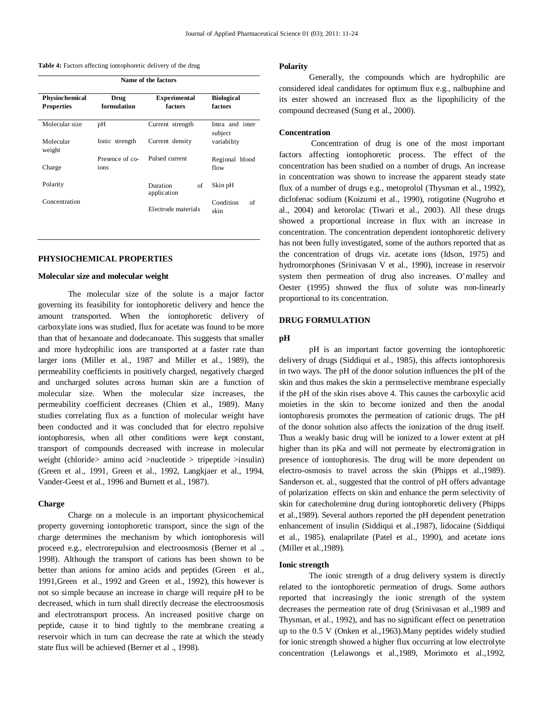| Table 4: Factors affecting iontophoretic delivery of the drug |  |  |  |
|---------------------------------------------------------------|--|--|--|
|---------------------------------------------------------------|--|--|--|

| Name of the factors                 |                         |                                |                              |
|-------------------------------------|-------------------------|--------------------------------|------------------------------|
| Physiochemical<br><b>Properties</b> | Drug<br>formulation     | <b>Experimental</b><br>factors | <b>Biological</b><br>factors |
| Molecular size                      | pH                      | Current strength               | Intra and inter<br>subject   |
| Molecular<br>weight                 | Ionic strength          | Current density                | variability                  |
| Charge                              | Presence of co-<br>ions | Pulsed current                 | Regional blood<br>flow       |
| Polarity                            |                         | Duration<br>of<br>application  | Skin pH                      |
| Concentration                       |                         | Electrode materials            | Condition<br>of<br>skin      |

# **PHYSIOCHEMICAL PROPERTIES**

#### **Molecular size and molecular weight**

The molecular size of the solute is a major factor governing its feasibility for iontophoretic delivery and hence the amount transported. When the iontophoretic delivery of carboxylate ions was studied, flux for acetate was found to be more than that of hexanoate and dodecanoate. This suggests that smaller and more hydrophilic ions are transported at a faster rate than larger ions (Miller et al., 1987 and Miller et al., 1989), the permeability coefficients in positively charged, negatively charged and uncharged solutes across human skin are a function of molecular size. When the molecular size increases, the permeability coefficient decreases (Chien et al., 1989). Many studies correlating flux as a function of molecular weight have been conducted and it was concluded that for electro repulsive iontophoresis, when all other conditions were kept constant, transport of compounds decreased with increase in molecular weight (chloride> amino acid >nucleotide > tripeptide >insulin) (Green et al., 1991, Green et al., 1992, Langkjaer et al., 1994, Vander-Geest et al., 1996 and Burnett et al., 1987).

#### **Charge**

Charge on a molecule is an important physicochemical property governing iontophoretic transport, since the sign of the charge determines the mechanism by which iontophoresis will proceed e.g., electrorepulsion and electroosmosis (Berner et al ., 1998). Although the transport of cations has been shown to be better than anions for amino acids and peptides (Green et al., 1991,Green et al., 1992 and Green et al., 1992), this however is not so simple because an increase in charge will require pH to be decreased, which in turn shall directly decrease the electroosmosis and electrotransport process. An increased positive charge on peptide, cause it to bind tightly to the membrane creating a reservoir which in turn can decrease the rate at which the steady state flux will be achieved (Berner et al ., 1998).

#### **Polarity**

Generally, the compounds which are hydrophilic are considered ideal candidates for optimum flux e.g., nalbuphine and its ester showed an increased flux as the lipophilicity of the compound decreased (Sung et al., 2000).

# **Concentration**

Concentration of drug is one of the most important factors affecting iontophoretic process. The effect of the concentration has been studied on a number of drugs. An increase in concentration was shown to increase the apparent steady state flux of a number of drugs e.g., metoprolol (Thysman et al., 1992), diclofenac sodium (Koizumi et al., 1990), rotigotine (Nugroho et al., 2004) and ketorolac (Tiwari et al., 2003). All these drugs showed a proportional increase in flux with an increase in concentration. The concentration dependent iontophoretic delivery has not been fully investigated, some of the authors reported that as the concentration of drugs viz. acetate ions (Idson, 1975) and hydromorphones (Srinivasan V et al., 1990), increase in reservoir system then permeation of drug also increases. O'malley and Oester (1995) showed the flux of solute was non-linearly proportional to its concentration.

# **DRUG FORMULATION**

#### **pH**

pH is an important factor governing the iontophoretic delivery of drugs (Siddiqui et al., 1985), this affects iontophoresis in two ways. The pH of the donor solution influences the pH of the skin and thus makes the skin a permselective membrane especially if the pH of the skin rises above 4. This causes the carboxylic acid moieties in the skin to become ionized and then the anodal iontophoresis promotes the permeation of cationic drugs. The pH of the donor solution also affects the ionization of the drug itself. Thus a weakly basic drug will be ionized to a lower extent at pH higher than its pKa and will not permeate by electromigration in presence of iontophoresis. The drug will be more dependent on electro-osmosis to travel across the skin (Phipps et al.,1989). Sanderson et. al., suggested that the control of pH offers advantage of polarization effects on skin and enhance the perm selectivity of skin for catecholemine drug during iontophoretic delivery (Phipps et al.,1989). Several authors reported the pH dependent penetration enhancement of insulin (Siddiqui et al.,1987), lidocaine (Siddiqui et al., 1985), enalaprilate (Patel et al., 1990), and acetate ions (Miller et al.,1989).

#### **Ionic strength**

The ionic strength of a drug delivery system is directly related to the iontophoretic permeation of drugs. Some authors reported that increasingly the ionic strength of the system decreases the permeation rate of drug (Srinivasan et al.,1989 and Thysman, et al., 1992), and has no significant effect on penetration up to the 0.5 V (Onken et al.,1963).Many peptides widely studied for ionic strength showed a higher flux occurring at low electrolyte concentration (Lelawongs et al.,1989, Morimoto et al.,1992,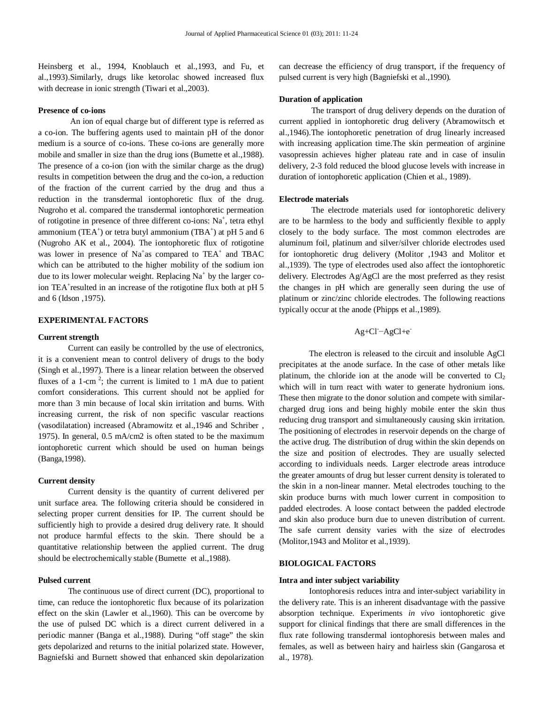Heinsberg et al., 1994, Knoblauch et al.,1993, and Fu, et al.,1993).Similarly, drugs like ketorolac showed increased flux with decrease in ionic strength (Tiwari et al.,2003).

# **Presence of co-ions**

An ion of equal charge but of different type is referred as a co-ion. The buffering agents used to maintain pH of the donor medium is a source of co-ions. These co-ions are generally more mobile and smaller in size than the drug ions (Bumette et al.,1988). The presence of a co-ion (ion with the similar charge as the drug) results in competition between the drug and the co-ion, a reduction of the fraction of the current carried by the drug and thus a reduction in the transdermal iontophoretic flux of the drug. Nugroho et al. compared the transdermal iontophoretic permeation of rotigotine in presence of three different co-ions: Na<sup>+</sup>, tetra ethyl ammonium (TEA<sup>+</sup>) or tetra butyl ammonium (TBA<sup>+</sup>) at pH 5 and 6 (Nugroho AK et al., 2004). The iontophoretic flux of rotigotine was lower in presence of  $Na<sup>+</sup>$ as compared to TEA<sup>+</sup> and TBAC which can be attributed to the higher mobility of the sodium ion due to its lower molecular weight. Replacing  $Na<sup>+</sup>$  by the larger coion TEA<sup>+</sup>resulted in an increase of the rotigotine flux both at pH 5 and 6 (Idson ,1975).

# **EXPERIMENTAL FACTORS**

## **Current strength**

Current can easily be controlled by the use of electronics, it is a convenient mean to control delivery of drugs to the body (Singh et al.,1997). There is a linear relation between the observed fluxes of a 1-cm<sup>2</sup>; the current is limited to 1 mA due to patient comfort considerations. This current should not be applied for more than 3 min because of local skin irritation and burns. With increasing current, the risk of non specific vascular reactions (vasodilatation) increased (Abramowitz et al.,1946 and Schriber , 1975). In general, 0.5 mA/cm2 is often stated to be the maximum iontophoretic current which should be used on human beings (Banga,1998).

# **Current density**

Current density is the quantity of current delivered per unit surface area. The following criteria should be considered in selecting proper current densities for IP. The current should be sufficiently high to provide a desired drug delivery rate. It should not produce harmful effects to the skin. There should be a quantitative relationship between the applied current. The drug should be electrochemically stable (Bumette et al.,1988).

# **Pulsed current**

The continuous use of direct current (DC), proportional to time, can reduce the iontophoretic flux because of its polarization effect on the skin (Lawler et al.,1960). This can be overcome by the use of pulsed DC which is a direct current delivered in a periodic manner (Banga et al.,1988). During "off stage" the skin gets depolarized and returns to the initial polarized state. However, Bagniefski and Burnett showed that enhanced skin depolarization

can decrease the efficiency of drug transport, if the frequency of pulsed current is very high (Bagniefski et al.,1990).

## **Duration of application**

The transport of drug delivery depends on the duration of current applied in iontophoretic drug delivery (Abramowitsch et al.,1946).The iontophoretic penetration of drug linearly increased with increasing application time.The skin permeation of arginine vasopressin achieves higher plateau rate and in case of insulin delivery, 2-3 fold reduced the blood glucose levels with increase in duration of iontophoretic application (Chien et al., 1989).

#### **Electrode materials**

The electrode materials used for iontophoretic delivery are to be harmless to the body and sufficiently flexible to apply closely to the body surface. The most common electrodes are aluminum foil, platinum and silver/silver chloride electrodes used for iontophoretic drug delivery (Molitor ,1943 and Molitor et al.,1939). The type of electrodes used also affect the iontophoretic delivery. Electrodes Ag/AgCl are the most preferred as they resist the changes in pH which are generally seen during the use of platinum or zinc/zinc chloride electrodes. The following reactions typically occur at the anode (Phipps et al.,1989).

$$
Ag+Cl - AgCl + e^{-}
$$

The electron is released to the circuit and insoluble AgCl precipitates at the anode surface. In the case of other metals like platinum, the chloride ion at the anode will be converted to  $Cl<sub>2</sub>$ which will in turn react with water to generate hydronium ions. These then migrate to the donor solution and compete with similarcharged drug ions and being highly mobile enter the skin thus reducing drug transport and simultaneously causing skin irritation. The positioning of electrodes in reservoir depends on the charge of the active drug. The distribution of drug within the skin depends on the size and position of electrodes. They are usually selected according to individuals needs. Larger electrode areas introduce the greater amounts of drug but lesser current density is tolerated to the skin in a non-linear manner. Metal electrodes touching to the skin produce burns with much lower current in composition to padded electrodes. A loose contact between the padded electrode and skin also produce burn due to uneven distribution of current. The safe current density varies with the size of electrodes (Molitor,1943 and Molitor et al.,1939).

# **BIOLOGICAL FACTORS**

# **Intra and inter subject variability**

Iontophoresis reduces intra and inter-subject variability in the delivery rate. This is an inherent disadvantage with the passive absorption technique. Experiments *in vivo* iontophoretic give support for clinical findings that there are small differences in the flux rate following transdermal iontophoresis between males and females, as well as between hairy and hairless skin (Gangarosa et al., 1978).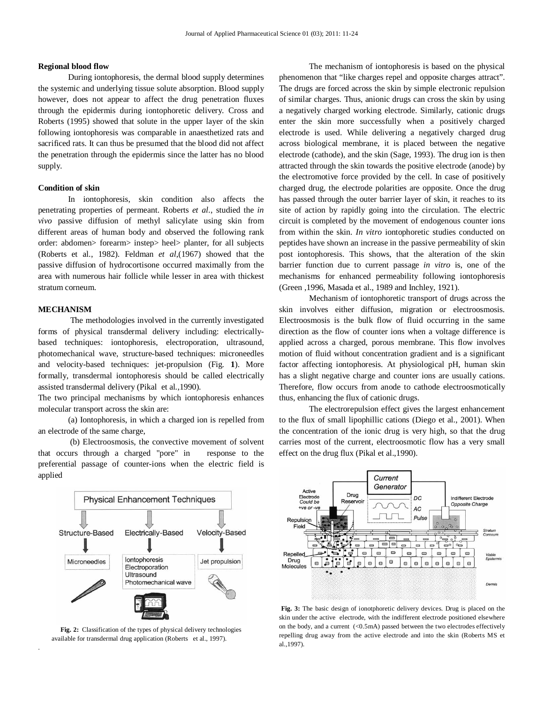# **Regional blood flow**

During iontophoresis, the dermal blood supply determines the systemic and underlying tissue solute absorption. Blood supply however, does not appear to affect the drug penetration fluxes through the epidermis during iontophoretic delivery. Cross and Roberts (1995) showed that solute in the upper layer of the skin following iontophoresis was comparable in anaesthetized rats and sacrificed rats. It can thus be presumed that the blood did not affect the penetration through the epidermis since the latter has no blood supply.

# **Condition of skin**

In iontophoresis, skin condition also affects the penetrating properties of permeant. Roberts *et al.*, studied the *in vivo* passive diffusion of methyl salicylate using skin from different areas of human body and observed the following rank order: abdomen> forearm> instep> heel> planter, for all subjects (Roberts et al., 1982). Feldman *et al*,(1967) showed that the passive diffusion of hydrocortisone occurred maximally from the area with numerous hair follicle while lesser in area with thickest stratum corneum.

# **MECHANISM**

.

The methodologies involved in the currently investigated forms of physical transdermal delivery including: electricallybased techniques: iontophoresis, electroporation, ultrasound, photomechanical wave, structure-based techniques: microneedles and velocity-based techniques: jet-propulsion (Fig. **1**). More formally, transdermal iontophoresis should be called electrically assisted transdermal delivery (Pikal et al.,1990).

The two principal mechanisms by which iontophoresis enhances molecular transport across the skin are:

(a) Iontophoresis, in which a charged ion is repelled from an electrode of the same charge,

(b) Electroosmosis, the convective movement of solvent that occurs through a charged "pore" in response to the preferential passage of counter-ions when the electric field is applied



**Fig. 2:** Classification of the types of physical delivery technologies available for transdermal drug application (Roberts et al., 1997).

The mechanism of iontophoresis is based on the physical phenomenon that "like charges repel and opposite charges attract". The drugs are forced across the skin by simple electronic repulsion of similar charges. Thus, anionic drugs can cross the skin by using a negatively charged working electrode. Similarly, cationic drugs enter the skin more successfully when a positively charged electrode is used. While delivering a negatively charged drug across biological membrane, it is placed between the negative electrode (cathode), and the skin (Sage, 1993). The drug ion is then attracted through the skin towards the positive electrode (anode) by the electromotive force provided by the cell. In case of positively charged drug, the electrode polarities are opposite. Once the drug has passed through the outer barrier layer of skin, it reaches to its site of action by rapidly going into the circulation. The electric circuit is completed by the movement of endogenous counter ions from within the skin. *In vitro* iontophoretic studies conducted on peptides have shown an increase in the passive permeability of skin post iontophoresis. This shows, that the alteration of the skin barrier function due to current passage *in vitro* is, one of the mechanisms for enhanced permeability following iontophoresis (Green ,1996, Masada et al., 1989 and Inchley, 1921).

Mechanism of iontophoretic transport of drugs across the skin involves either diffusion, migration or electroosmosis. Electroosmosis is the bulk flow of fluid occurring in the same direction as the flow of counter ions when a voltage difference is applied across a charged, porous membrane. This flow involves motion of fluid without concentration gradient and is a significant factor affecting iontophoresis. At physiological pH, human skin has a slight negative charge and counter ions are usually cations. Therefore, flow occurs from anode to cathode electroosmotically thus, enhancing the flux of cationic drugs.

The electrorepulsion effect gives the largest enhancement to the flux of small lipophillic cations (Diego et al., 2001). When the concentration of the ionic drug is very high, so that the drug carries most of the current, electroosmotic flow has a very small effect on the drug flux (Pikal et al.,1990).



**Fig. 3:** The basic design of ionotphoretic delivery devices. Drug is placed on the skin under the active electrode, with the indifferent electrode positioned elsewhere on the body, and a current (<0.5mA) passed between the two electrodes effectively repelling drug away from the active electrode and into the skin (Roberts MS et al.,1997).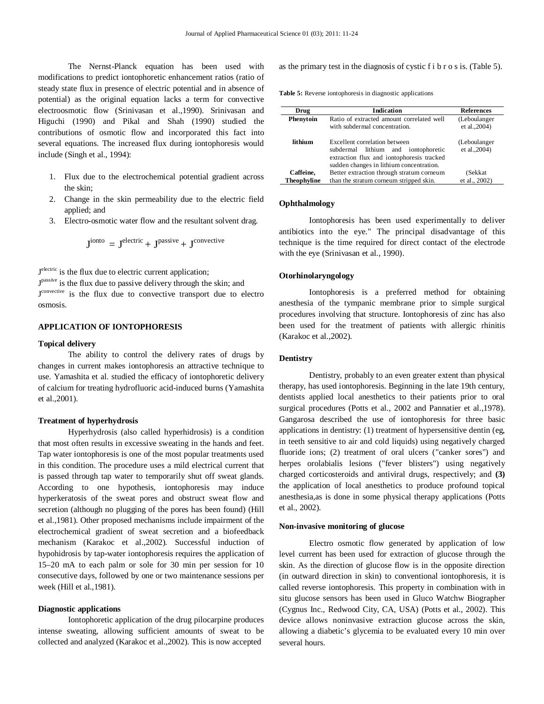The Nernst-Planck equation has been used with modifications to predict iontophoretic enhancement ratios (ratio of steady state flux in presence of electric potential and in absence of potential) as the original equation lacks a term for convective electroosmotic flow (Srinivasan et al.,1990). Srinivasan and Higuchi (1990) and Pikal and Shah (1990) studied the contributions of osmotic flow and incorporated this fact into several equations. The increased flux during iontophoresis would include (Singh et al., 1994):

- 1. Flux due to the electrochemical potential gradient across the skin;
- 2. Change in the skin permeability due to the electric field applied; and
- 3. Electro-osmotic water flow and the resultant solvent drag.

$$
Jionto = Jelectric + Jpassive + Jconvective
$$

J<sup>electric</sup> is the flux due to electric current application; J<sup>passive</sup> is the flux due to passive delivery through the skin; and J<sup>convective</sup> is the flux due to convective transport due to electro osmosis.

# **APPLICATION OF IONTOPHORESIS**

# **Topical delivery**

The ability to control the delivery rates of drugs by changes in current makes iontophoresis an attractive technique to use. Yamashita et al. studied the efficacy of iontophoretic delivery of calcium for treating hydrofluoric acid-induced burns (Yamashita et al.,2001).

# **Treatment of hyperhydrosis**

Hyperhydrosis (also called hyperhidrosis) is a condition that most often results in excessive sweating in the hands and feet. Tap water iontophoresis is one of the most popular treatments used in this condition. The procedure uses a mild electrical current that is passed through tap water to temporarily shut off sweat glands. According to one hypothesis, iontophoresis may induce hyperkeratosis of the sweat pores and obstruct sweat flow and secretion (although no plugging of the pores has been found) (Hill et al.,1981). Other proposed mechanisms include impairment of the electrochemical gradient of sweat secretion and a biofeedback mechanism (Karakoc et al.,2002). Successful induction of hypohidrosis by tap-water iontophoresis requires the application of 15–20 mA to each palm or sole for 30 min per session for 10 consecutive days, followed by one or two maintenance sessions per week (Hill et al.,1981).

# **Diagnostic applications**

Iontophoretic application of the drug pilocarpine produces intense sweating, allowing sufficient amounts of sweat to be collected and analyzed (Karakoc et al.,2002). This is now accepted

as the primary test in the diagnosis of cystic f i b r o s is. (Table 5).

**Table 5:** Reverse iontophoresis in diagnostic applications

| Drug               | <b>Indication</b>                                                                                                                                             | <b>References</b>             |
|--------------------|---------------------------------------------------------------------------------------------------------------------------------------------------------------|-------------------------------|
| Phenytoin          | Ratio of extracted amount correlated well<br>with subdermal concentration.                                                                                    | (Leboulanger<br>et al., 2004) |
| lithium            | Excellent correlation between<br>subdermal lithium and iontophoretic<br>extraction flux and iontophoresis tracked<br>sudden changes in lithium concentration. | (Leboulanger<br>et al., 2004) |
| Caffeine,          | Better extraction through stratum corneum                                                                                                                     | (Sekkat                       |
| <b>Theophyline</b> | than the stratum corneum stripped skin.                                                                                                                       | et al., 2002)                 |

## **Ophthalmology**

Iontophoresis has been used experimentally to deliver antibiotics into the eye." The principal disadvantage of this technique is the time required for direct contact of the electrode with the eye (Srinivasan et al., 1990).

# **Otorhinolaryngology**

Iontophoresis is a preferred method for obtaining anesthesia of the tympanic membrane prior to simple surgical procedures involving that structure. Iontophoresis of zinc has also been used for the treatment of patients with allergic rhinitis (Karakoc et al.,2002).

#### **Dentistry**

Dentistry, probably to an even greater extent than physical therapy, has used iontophoresis. Beginning in the late 19th century, dentists applied local anesthetics to their patients prior to oral surgical procedures (Potts et al., 2002 and Pannatier et al.,1978). Gangarosa described the use of iontophoresis for three basic applications in dentistry: (1) treatment of hypersensitive dentin (eg, in teeth sensitive to air and cold liquids) using negatively charged fluoride ions; (2) treatment of oral ulcers ("canker sores") and herpes orolabialis lesions ("fever blisters") using negatively charged corticosteroids and antiviral drugs, respectively; and **(3)**  the application of local anesthetics to produce profound topical anesthesia,as is done in some physical therapy applications (Potts et al., 2002).

# **Non-invasive monitoring of glucose**

Electro osmotic flow generated by application of low level current has been used for extraction of glucose through the skin. As the direction of glucose flow is in the opposite direction (in outward direction in skin) to conventional iontophoresis, it is called reverse iontophoresis. This property in combination with in situ glucose sensors has been used in Gluco Watchw Biographer (Cygnus Inc., Redwood City, CA, USA) (Potts et al., 2002). This device allows noninvasive extraction glucose across the skin, allowing a diabetic's glycemia to be evaluated every 10 min over several hours.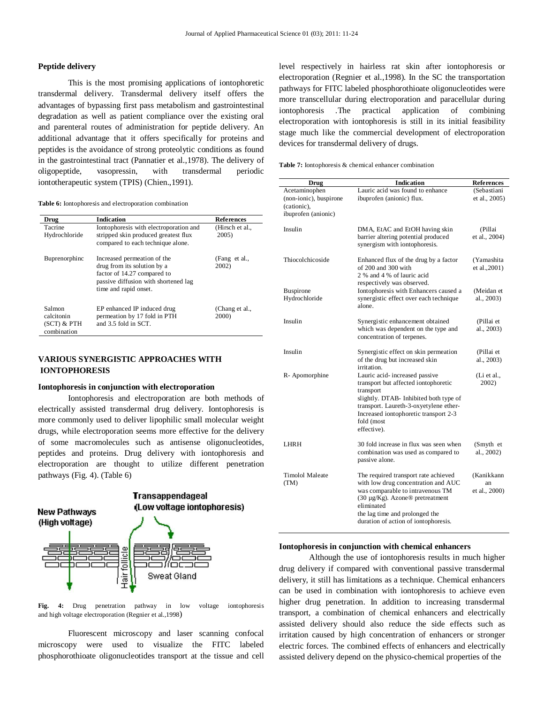# **Peptide delivery**

This is the most promising applications of iontophoretic transdermal delivery. Transdermal delivery itself offers the advantages of bypassing first pass metabolism and gastrointestinal degradation as well as patient compliance over the existing oral and parenteral routes of administration for peptide delivery. An additional advantage that it offers specifically for proteins and peptides is the avoidance of strong proteolytic conditions as found in the gastrointestinal tract (Pannatier et al.,1978). The delivery of oligopeptide, vasopressin, with transdermal periodic iontotherapeutic system (TPIS) (Chien.,1991).

**Table 6:** Iontophoresis and electroporation combination

| Drug                                                 | <b>Indication</b>                                                                                                                                          | <b>References</b>             |
|------------------------------------------------------|------------------------------------------------------------------------------------------------------------------------------------------------------------|-------------------------------|
| Tacrine<br>Hydrochloride                             | Iontophoresis with electroporation and<br>stripped skin produced greatest flux<br>compared to each technique alone.                                        | (Hirsch et al.,<br>2005)      |
| Buprenorphine                                        | Increased permeation of the<br>drug from its solution by a<br>factor of 14.27 compared to<br>passive diffusion with shortened lag<br>time and rapid onset. | (Fang et al.,<br>2002)        |
| Salmon<br>calcitonin<br>$(SCT)$ & PTH<br>combination | EP enhanced IP induced drug<br>permeation by 17 fold in PTH<br>and 3.5 fold in SCT.                                                                        | (Chang et al.,<br><b>2000</b> |

# **VARIOUS SYNERGISTIC APPROACHES WITH IONTOPHORESIS**

#### **Iontophoresis in conjunction with electroporation**

Iontophoresis and electroporation are both methods of electrically assisted transdermal drug delivery. Iontophoresis is more commonly used to deliver lipophilic small molecular weight drugs, while electroporation seems more effective for the delivery of some macromolecules such as antisense oligonucleotides, peptides and proteins. Drug delivery with iontophoresis and electroporation are thought to utilize different penetration pathways (Fig. 4). (Table 6)



**Fig. 4:** Drug penetration pathway in low voltage iontophoresis and high voltage electroporation (Regnier et al.,1998)

Fluorescent microscopy and laser scanning confocal microscopy were used to visualize the FITC labeled phosphorothioate oligonucleotides transport at the tissue and cell

level respectively in hairless rat skin after iontophoresis or electroporation (Regnier et al.,1998). In the SC the transportation pathways for FITC labeled phosphorothioate oligonucleotides were more transcellular during electroporation and paracellular during iontophoresis .The practical application of combining electroporation with iontophoresis is still in its initial feasibility stage much like the commercial development of electroporation devices for transdermal delivery of drugs.

| Drug                                                   | <b>Indication</b>                                                                                                                                                                                                                                            | References                        |
|--------------------------------------------------------|--------------------------------------------------------------------------------------------------------------------------------------------------------------------------------------------------------------------------------------------------------------|-----------------------------------|
| Acetaminophen<br>(non-ionic), buspirone<br>(cationic). | Lauric acid was found to enhance<br>ibuprofen (anionic) flux.                                                                                                                                                                                                | (Sebastiani<br>et al., 2005)      |
| ibuprofen (anionic)                                    |                                                                                                                                                                                                                                                              |                                   |
| Insulin                                                | DMA, EtAC and EtOH having skin<br>barrier altering potential produced<br>synergism with iontophoresis.                                                                                                                                                       | (Pillai<br>et al., 2004)          |
| Thiocolchicoside                                       | Enhanced flux of the drug by a factor<br>of 200 and 300 with<br>2 % and 4 % of lauric acid<br>respectively was observed.                                                                                                                                     | (Yamashita<br>et al., 2001)       |
| <b>Buspirone</b><br>Hydrochloride                      | Iontophoresis with Enhancers caused a<br>synergistic effect over each technique<br>alone.                                                                                                                                                                    | (Meidan et<br>al., 2003)          |
| Insulin                                                | Synergistic enhancement obtained<br>which was dependent on the type and<br>concentration of terpenes.                                                                                                                                                        | (Pillai et<br>al., 2003)          |
| Insulin                                                | Synergistic effect on skin permeation<br>of the drug but increased skin<br>irritation.                                                                                                                                                                       | (Pillai et<br>al., 2003)          |
| R-Apomorphine                                          | Lauric acid-increased passive<br>transport but affected iontophoretic<br>transport<br>slightly. DTAB- Inhibited both type of<br>transport. Laureth-3-oxyetylene ether-<br>Increased iontophoretic transport 2-3<br>fold (most<br>effective).                 | (Li et al.,<br>2002)              |
| LHRH                                                   | 30 fold increase in flux was seen when<br>combination was used as compared to<br>passive alone.                                                                                                                                                              | (Smyth et<br>al., 2002)           |
| Timolol Maleate<br>(TM)                                | The required transport rate achieved<br>with low drug concentration and AUC<br>was comparable to intravenous TM<br>$(30 \mu g/Kg)$ . Azone <sup>®</sup> pretreatment<br>eliminated<br>the lag time and prolonged the<br>duration of action of iontophoresis. | (Kanikkann<br>an<br>et al., 2000) |

## **Iontophoresis in conjunction with chemical enhancers**

Although the use of iontophoresis results in much higher drug delivery if compared with conventional passive transdermal delivery, it still has limitations as a technique. Chemical enhancers can be used in combination with iontophoresis to achieve even higher drug penetration. In addition to increasing transdermal transport, a combination of chemical enhancers and electrically assisted delivery should also reduce the side effects such as irritation caused by high concentration of enhancers or stronger electric forces. The combined effects of enhancers and electrically assisted delivery depend on the physico-chemical properties of the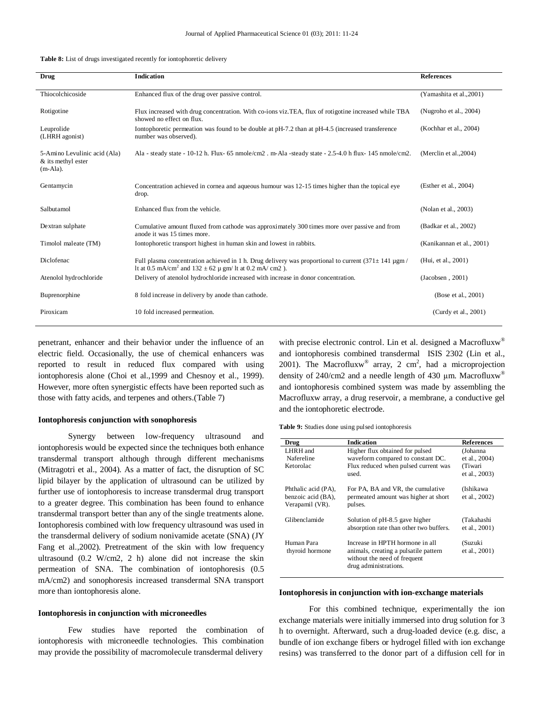|  |  | <b>Table 8:</b> List of drugs investigated recently for iontophoretic delivery |  |
|--|--|--------------------------------------------------------------------------------|--|
|--|--|--------------------------------------------------------------------------------|--|

| Drug                                                              | <b>Indication</b>                                                                                                                                                                              | <b>References</b>         |
|-------------------------------------------------------------------|------------------------------------------------------------------------------------------------------------------------------------------------------------------------------------------------|---------------------------|
| Thiocolchicoside                                                  | Enhanced flux of the drug over passive control.                                                                                                                                                | (Yamashita et al., 2001)  |
| Rotigotine                                                        | Flux increased with drug concentration. With co-ions viz.TEA, flux of rotigotine increased while TBA<br>showed no effect on flux.                                                              | (Nugroho et al., 2004)    |
| Leuprolide<br>(LHRH agonist)                                      | Iontophoretic permeation was found to be double at pH-7.2 than at pH-4.5 (increased transference<br>number was observed).                                                                      | (Kochhar et al., 2004)    |
| 5-Amino Levulinic acid (Ala)<br>& its methyl ester<br>$(m-Ala)$ . | Ala - steady state - 10-12 h. Flux- 65 nmole/cm2. m-Ala - steady state - $2.5-4.0$ h flux- 145 nmole/cm2.                                                                                      | (Merclin et al., 2004)    |
| Gentamycin                                                        | Concentration achieved in cornea and aqueous humour was 12-15 times higher than the topical eye<br>drop.                                                                                       | (Esther et al., 2004)     |
| Salbutamol                                                        | Enhanced flux from the vehicle.                                                                                                                                                                | (Nolan et al., 2003)      |
| Dextran sulphate                                                  | Cumulative amount fluxed from cathode was approximately 300 times more over passive and from<br>anode it was 15 times more.                                                                    | (Badkar et al., 2002)     |
| Timolol maleate (TM)                                              | Iontophoretic transport highest in human skin and lowest in rabbits.                                                                                                                           | (Kanikannan et al., 2001) |
| Diclofenac                                                        | Full plasma concentration achieved in 1 h. Drug delivery was proportional to current $(371 \pm 141 \,\mathrm{\mu g m})$<br>lt at 0.5 mA/cm <sup>2</sup> and 132 ± 62 μ gm/ lt at 0.2 mA/ cm2). | (Hui, et al., 2001)       |
| Atenolol hydrochloride                                            | Delivery of atenolol hydrochloride increased with increase in donor concentration.                                                                                                             | (Jacobsen, 2001)          |
| Buprenorphine                                                     | 8 fold increase in delivery by anode than cathode.                                                                                                                                             | (Bose et al., 2001)       |
| Piroxicam                                                         | 10 fold increased permeation.                                                                                                                                                                  | (Curdy et al., 2001)      |

penetrant, enhancer and their behavior under the influence of an electric field. Occasionally, the use of chemical enhancers was reported to result in reduced flux compared with using iontophoresis alone (Choi et al.,1999 and Chesnoy et al., 1999). However, more often synergistic effects have been reported such as those with fatty acids, and terpenes and others.(Table 7)

#### **Iontophoresis conjunction with sonophoresis**

Synergy between low-frequency ultrasound and iontophoresis would be expected since the techniques both enhance transdermal transport although through different mechanisms (Mitragotri et al., 2004). As a matter of fact, the disruption of SC lipid bilayer by the application of ultrasound can be utilized by further use of iontophoresis to increase transdermal drug transport to a greater degree. This combination has been found to enhance transdermal transport better than any of the single treatments alone. Iontophoresis combined with low frequency ultrasound was used in the transdermal delivery of sodium nonivamide acetate (SNA) (JY Fang et al.,2002). Pretreatment of the skin with low frequency ultrasound (0.2 W/cm2, 2 h) alone did not increase the skin permeation of SNA. The combination of iontophoresis (0.5 mA/cm2) and sonophoresis increased transdermal SNA transport more than iontophoresis alone.

#### **Iontophoresis in conjunction with microneedles**

Few studies have reported the combination of iontophoresis with microneedle technologies. This combination may provide the possibility of macromolecule transdermal delivery

with precise electronic control. Lin et al. designed a Macrofluxw® and iontophoresis combined transdermal ISIS 2302 (Lin et al., 2001). The Macrofluxw<sup>®</sup> array, 2 cm<sup>2</sup>, had a microprojection density of 240/cm2 and a needle length of 430  $\mu$ m. Macrofluxw<sup>®</sup> and iontophoresis combined system was made by assembling the Macrofluxw array, a drug reservoir, a membrane, a conductive gel and the iontophoretic electrode.

**Table 9:** Studies done using pulsed iontophoresis

| Drug                                                         | <b>Indication</b>                                                                                                                 | <b>References</b>           |
|--------------------------------------------------------------|-----------------------------------------------------------------------------------------------------------------------------------|-----------------------------|
| LHRH and<br>Nafereline                                       | Higher flux obtained for pulsed                                                                                                   | (Johanna                    |
| Ketorolac                                                    | waveform compared to constant DC.                                                                                                 | et al., 2004)<br>(Tiwari    |
|                                                              | Flux reduced when pulsed current was<br>used.                                                                                     | et al., 2003)               |
| Phthalic acid (PA),<br>benzoic acid (BA),<br>Verapamil (VR). | For PA, BA and VR, the cumulative<br>permeated amount was higher at short<br>pulses.                                              | (Ishikawa<br>et al., 2002)  |
| Glibenclamide                                                | Solution of pH-8.5 gave higher<br>absorption rate than other two buffers.                                                         | (Takahashi<br>et al., 2001) |
| Human Para<br>thyroid hormone                                | Increase in HPTH hormone in all<br>animals, creating a pulsatile pattern<br>without the need of frequent<br>drug administrations. | (Suzuki<br>et al., 2001)    |

# **Iontophoresis in conjunction with ion-exchange materials**

For this combined technique, experimentally the ion exchange materials were initially immersed into drug solution for 3 h to overnight. Afterward, such a drug-loaded device (e.g. disc, a bundle of ion exchange fibers or hydrogel filled with ion exchange resins) was transferred to the donor part of a diffusion cell for in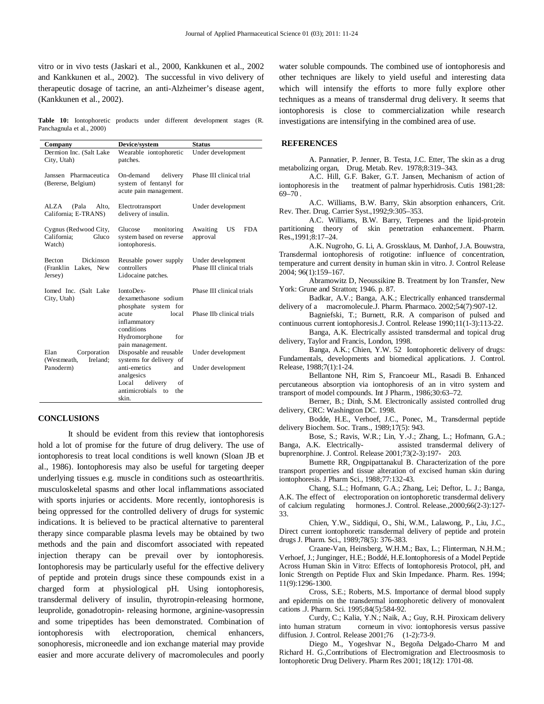vitro or in vivo tests (Jaskari et al., 2000, Kankkunen et al., 2002 and Kankkunen et al., 2002). The successful in vivo delivery of therapeutic dosage of tacrine, an anti-Alzheimer's disease agent, (Kankkunen et al., 2002).

**Table 10:** Iontophoretic products under different development stages (R. Panchagnula et al., 2000)

| Company                                                       | Device/system                                                                            | <b>Status</b>                                  |
|---------------------------------------------------------------|------------------------------------------------------------------------------------------|------------------------------------------------|
| Dermion Inc. (Salt Lake<br>City, Utah)                        | Wearable iontophoretic<br>patches.                                                       | Under development                              |
| Janssen Pharmaceutica<br>(Bererse, Belgium)                   | On-demand<br>delivery<br>system of fentanyl for<br>acute pain management.                | Phase III clinical trial                       |
| AI. ZA<br>(Pala<br>Alto,<br>California; E-TRANS)              | Electrotransport<br>delivery of insulin.                                                 | Under development                              |
| Cygnus (Redwood City,<br>California:<br>Gluco<br>Watch)       | Glucose<br>monitoring<br>system based on reverse<br>iontophoresis.                       | Awaiting<br>US<br>FDA.<br>approval             |
| Dickinson<br><b>Becton</b><br>(Franklin Lakes, New<br>Jersey) | Reusable power supply<br>controllers<br>Lidocaine patches.                               | Under development<br>Phase III clinical trials |
| Iomed Inc. (Salt Lake<br>City, Utah)                          | IontoDex-<br>dexamethasone sodium<br>phosphate system for                                | Phase III clinical trials                      |
|                                                               | local<br>acute<br>inflammatory<br>conditions<br>Hydromorphone<br>for<br>pain management. | Phase IIb clinical trials                      |
| Elan<br>Corporation<br>Ireland:<br>(Westmeath,                | Disposable and reusable<br>systems for delivery of                                       | Under development                              |
| Panoderm)                                                     | anti-emetics<br>and<br>analgesics<br>Local<br>delivery<br>of                             | Under development                              |
|                                                               | antimicrobials to<br>the.<br>skin.                                                       |                                                |

# **CONCLUSIONS**

It should be evident from this review that iontophoresis hold a lot of promise for the future of drug delivery. The use of iontophoresis to treat local conditions is well known (Sloan JB et al., 1986). Iontophoresis may also be useful for targeting deeper underlying tissues e.g. muscle in conditions such as osteoarthritis. musculoskeletal spasms and other local inflammations associated with sports injuries or accidents. More recently, iontophoresis is being oppressed for the controlled delivery of drugs for systemic indications. It is believed to be practical alternative to parenteral therapy since comparable plasma levels may be obtained by two methods and the pain and discomfort associated with repeated injection therapy can be prevail over by iontophoresis. Iontophoresis may be particularly useful for the effective delivery of peptide and protein drugs since these compounds exist in a charged form at physiological pH. Using iontophoresis, transdermal delivery of insulin, thyrotropin-releasing hormone, leuprolide, gonadotropin- releasing hormone, arginine-vasopressin and some tripeptides has been demonstrated. Combination of iontophoresis with electroporation, chemical enhancers, sonophoresis, microneedle and ion exchange material may provide easier and more accurate delivery of macromolecules and poorly

water soluble compounds. The combined use of iontophoresis and other techniques are likely to yield useful and interesting data which will intensify the efforts to more fully explore other techniques as a means of transdermal drug delivery. It seems that iontophoresis is close to commercialization while research investigations are intensifying in the combined area of use.

#### **REFERENCES**

A. Pannatier, P. Jenner, B. Testa, J.C. Etter, The skin as a drug metabolizing organ, Drug. Metab. Rev. 1978;8:319–343.

 A.C. Hill, G.F. Baker, G.T. Jansen, Mechanism of action of iontophoresis in the treatment of palmar hyperhidrosis. Cutis 1981;28: 69–70 .

A.C. Williams, B.W. Barry, Skin absorption enhancers, Crit. Rev. Ther. Drug. Carrier Syst.,1992;9:305–353.

A.C. Williams, B.W. Barry, Terpenes and the lipid-protein partitioning theory of skin penetration enhancement. Pharm. Res.,1991;8:17–24.

A.K. Nugroho, G. Li, A. Grossklaus, M. Danhof, J.A. Bouwstra, Transdermal iontophoresis of rotigotine: influence of concentration, temperature and current density in human skin in vitro. J. Control Release 2004; 96(1):159–167.

Abramowitz D, Neoussikine B. Treatment by Ion Transfer, New York: Grune and Stratton; 1946. p. 87.

Badkar, A.V.; Banga, A.K.; Electrically enhanced transdermal delivery of a macromolecule.J. Pharm. Pharmaco. 2002;54(7):907-12.

Bagniefski, T.; Burnett, R.R. A comparison of pulsed and continuous current iontophoresis.J. Control. Release 1990;11(1-3):113-22.

Banga, A.K. Electrically assisted transdermal and topical drug delivery, Taylor and Francis, London, 1998.

Banga, A.K.; Chien, Y.W. 52 Iontophoretic delivery of drugs: Fundamentals, developments and biomedical applications. J. Control. Release, 1988;7(1):1-24.

Bellantone NH, Rim S, Francoeur ML, Rasadi B. Enhanced percutaneous absorption via iontophoresis of an in vitro system and transport of model compounds. Int J Pharm., 1986;30:63–72.

Berner, B.; Dinh, S.M. Electronically assisted controlled drug delivery, CRC: Washington DC. 1998.

Bodde, H.E., Verhoef, J.C., Ponec, M., Transdermal peptide delivery Biochem. Soc. Trans., 1989;17(5): 943.

Bose, S.; Ravis, W.R.; Lin, Y.-J.; Zhang, L.; Hofmann, G.A.; Banga, A.K. Electrically- assisted transdermal delivery of buprenorphine. J. Control. Release 2001;73(2-3):197- 203.

Bumette RR, Ongpipattanakul B. Characterization of the pore transport properties and tissue alteration of excised human skin during iontophoresis. J Pharm Sci., 1988;77:132-43.

Chang, S.L.; Hofmann, G.A.; Zhang, Lei; Deftor, L. J.; Banga, A.K. The effect of electroporation on iontophoretic transdermal delivery of calcium regulating hormones.J. Control. Release.,2000;66(2-3):127- 33.

Chien, Y.W., Siddiqui, O., Shi, W.M., Lalawong, P., Liu, J.C., Direct current iontophoretic transdermal delivery of peptide and protein drugs J. Pharm. Sci., 1989;78(5): 376-383.

Craane-Van, Heinsberg, W.H.M.; Bax, L.; Flinterman, N.H.M.; Verhoef, J.; Junginger, H.E.; Boddé, H.E.Iontophoresis of a Model Peptide Across Human Skin in Vitro: Effects of Iontophoresis Protocol, pH, and Ionic Strength on Peptide Flux and Skin Impedance. Pharm. Res. 1994; 11(9):1296-1300.

Cross, S.E.; Roberts, M.S. Importance of dermal blood supply and epidermis on the transdermal iontophoretic delivery of monovalent cations .J. Pharm. Sci. 1995;84(5):584-92.

Curdy, C.; Kalia, Y.N.; Naik, A.; Guy, R.H. Piroxicam delivery into human stratum corneum in vivo: iontophoresis versus passive diffusion. J. Control. Release 2001;76 (1-2):73-9.

Diego M., Yogeshvar N., Begoña Delgado-Charro M and Richard H. G.,Contributions of Electromigration and Electroosmosis to Iontophoretic Drug Delivery. Pharm Res 2001; 18(12): 1701-08.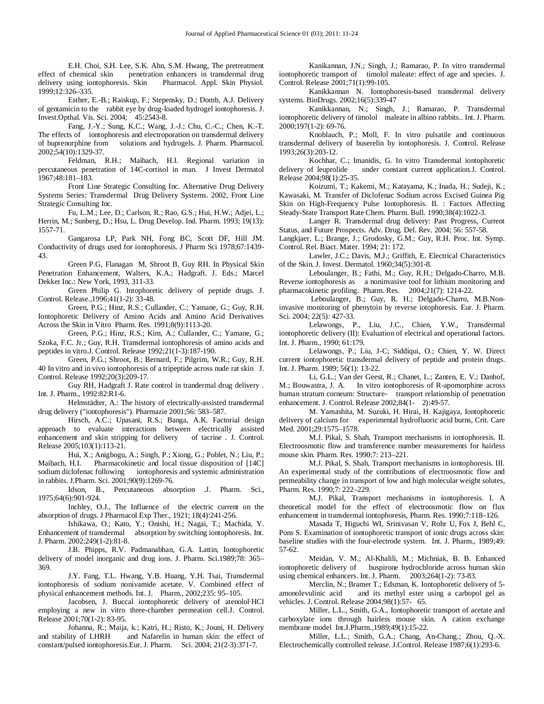E.H. Choi, S.H. Lee, S.K. Ahn, S.M. Hwang, The pretreatment effect of chemical skin penetration enhancers in transdermal drug penetration enhancers in transdermal drug<br>s. Skin Pharmacol. Appl. Skin Physiol. delivery using iontophoresis. Skin 1999;12:326–335.

Esther, E.-B.; Raiskup, F.; Stepensky, D.; Domb, A.J. Delivery of gentamicin to the rabbit eye by drug-loaded hydrogel iontophoresis. J. Invest.Opthal. Vis. Sci. 2004; 45:2543-8.

Fang, J.-Y.; Sung, K.C.; Wang, J.-J.; Chu, C.-C.; Chen, K.-T. The effects of iontophoresis and electroporation on transdermal delivery of buprenorphine from solutions and hydrogels. J. Pharm. Pharmacol. 2002;54(10):1329-37.

Feldman, R.H.; Maibach, H.I. Regional variation in percutaneous penetration of 14C-cortisol in man. J Invest Dermatol 1967;48:181–183.

Front Line Strategic Consulting Inc. Alternative Drug Delivery Systems Series: Transdermal Drug Delivery Systems. 2002, Front Line Strategic Consulting Inc.

Fu, L.M.; Lee, D.; Carlson, R.; Rao, G.S.; Hui, H.W.; Adjei, L.; Herrin, M.; Sunberg, D.; Hsu, L. Drug Develop. Ind. Pharm. 1993; 19(13): 1557-71.

Gangarosa LP, Park NH, Fong BC, Scott DF, Hill JM. Conductivity of drugs used for iontophoresis. J Pharm Sci 1978;67:1439- 43.

Green P.G, Flanagan M, Shroot B, Guy RH. In Physical Skin Penetration Enhancement, Walters, K.A.; Hadgraft. J. Eds.; Marcel Dekker Inc.: New York, 1993, 311-33.

Green Philip G. Intophoretic delivery of peptide drugs. J. Control. Release.,1996;41(1-2): 33-48.

Green, P.G.; Hinz, R.S.; Cullander, C.; Yamane, G.; Guy, R.H. Iontophoretic Delivery of Amino Acids and Amino Acid Derivatives Across the Skin in Vitro Pharm. Res. 1991;8(9):1113-20.

Green, P.G.; Hinz, R.S.; Kim, A.; Cullander, C.; Yamane, G.; Szoka, F.C. Jr.; Guy, R.H. Transdermal iontophoresis of amino acids and peptides in vitro.J. Control. Release 1992;21(1-3):187-190.

Green, P.G.; Shroot, B.; Bernard, F.; Pilgrim, W.R.; Guy, R.H. 40 In vitro and in vivo iontophoresis of a tripeptide across nude rat skin J. Control. Release 1992;20(3):209-17.

Guy RH, Hadgraft J. Rate control in trandermal drug delivery . Int. J. Pharm., 1992:82:R1-6.

Helmstädter, A.: The history of electrically-assisted transdermal drug delivery ("iontophoresis"). Pharmazie 2001;56: 583–587.

Hirsch, A.C.; Upasani, R.S.; Banga, A.K. Factorial design approach to evaluate interactions between electrically assisted enhancement and skin stripping for delivery of tacrine . J. Control. Release 2005;103(1):113-21.

Hui, X.; Anigbogu, A.; Singh, P.; Xiong, G.; Poblet, N.; Liu, P.; Maibach, H.I. Pharmacokinetic and local tissue disposition of [14C] sodium diclofenac following iontophoresis and systemic administration in rabbits. J.Pharm. Sci. 2001;90(9):1269-76.

Idson, B., Percutaneous absorption .J. Pharm. Sci., 1975;64(6):901-924.

Inchley, O.J., The Influence of the electric current on the absorption of drugs. J Pharmacol Exp Ther., 1921; 18(4):241-256.

Ishikawa, O.; Kato, Y.; Onishi, H.; Nagai, T.; Machida, Y. Enhancement of transdermal absorption by switching iontophoresis. Int. J. Pharm. 2002;249(1-2):81-8.

J.B. Phipps, R.V. Padmanabhan, G.A. Lattin, Iontophoretic delivery of model inorganic and drug ions. J. Pharm. Sci.1989;78: 365– 369.

 J.Y. Fang, T.L. Hwang, Y.B. Huang, Y.H. Tsai, Transdermal iontophoresis of sodium nonivamide acetate. V. Combined effect of physical enhancement methods. Int. J. Pharm., 2002;235: 95–105.

Jacobsen, J. Buccal iontophoretic delivery of atenolol·HCl employing a new in vitro three-chamber permeation cell.J. Control. Release 2001;70(1-2): 83-95.

Johanna, R.; Maija, k.; Katri, H.; Risto, K.; Jouni, H. Delivery and Nafarelin in human skin: the effect of constant/pulsed iontophoresis.Eur. J. Pharm. Sci. 2004; 21(2-3):371-7.

Kanikannan, J.N.; Singh, J.; Ramarao, P. In vitro transdermal iontophoretic transport of timolol maleate: effect of age and species. J. Control. Release 2001;71(1):99-105.

Kanikkannan N. Iontophoresis-based transdermal delivery systems. BioDrugs. 2002;16(5):339-47

Kanikkannan, N.; Singh, J.; Ramarao, P. Transdermal iontophoretic delivery of timolol maleate in albino rabbits.. Int. J. Pharm. 2000;197(1-2): 69-76.

Knoblauch, P.; Moll, F. In vitro pulsatile and continuous transdermal delivery of buserelin by iontophoresis. J. Control. Release 1993;26(3):203-12.

Kochhar, C.; Imanidis, G. In vitro Transdermal iontophoretic<br>delivery of leuprolide under constant current application. J. Control. under constant current application.J. Control. Release 2004;98(1):25-35.

Koizumi, T.; Kakemi, M.; Katayama, K.; Inada, H.; Sudeji, K.; Kawasaki, M. Transfer of Diclofenac Sodium across Excised Guinea Pig Skin on High-Frequency Pulse Iontophoresis. II. : Factors Affecting Steady-State Transport Rate Chem. Pharm. Bull. 1990;38(4):1022-3.

Langer R. Transdermal drug delivery: Past Progress, Current Status, and Future Prospects. Adv. Drug. Del. Rev. 2004; 56: 557-58.

Langkjaer, L.; Brange, J.; Grodosky, G.M.; Guy, R.H. Proc. Int. Symp. Control. Rel. Biact. Mater. 1994; 21: 172.

Lawler, J.C.; Davis, M.J.; Griffith, E. Electrical Characteristics of the Skin. J. Invest. Dermatol. 1960;34(5):301-8.

Leboulanger, B.; Fathi, M.; Guy, R.H.; Delgado-Charro, M.B. Reverse iontophoresis as a noninvasive tool for lithium monitoring and pharmacokinetic profiling. Pharm. Res. 2004;21(7): 1214-22.

Leboulanger, B.; Guy, R. H.; Delgado-Charro, M.B.Noninvasive monitoring of phenytoin by reverse iotophoresis. Eur. J. Pharm. Sci. 2004; 22(5): 427-33.

Lelawongs, P., Liu, J.C., Chien, Y.W., Transdermal iontophoretic delivery (II): Evaluation of electrical and operational factors. Int. J. Pharm., 1990; 61:179.

Lelawongs, P.; Liu, J-C; Siddiqui, O.; Chien, Y. W. Direct current iontophoretic transdermal delivery of peptide and protein drugs. Int. J. Pharm. 1989; 56(1): 13-22.

Li, G.L.; Van der Geest, R.; Chanet, L.; Zanten, E. V.; Danhof, M.; Bouwastra, J. A. In vitro iontophoresis of R-apomorphine across human stratum corneum: Structure- transport relationship of penetration enhancement. J. Control. Release 2002;84(1- 2):49-57.

M. Yamashita, M. Suzuki, H. Hirai, H. Kajigaya, Iontophoretic delivery of calcium for experimental hydrofluoric acid burns, Crit. Care Med. 2001;29:1575–1578.

M.J. Pikal, S. Shah, Transport mechanisms in iontophoresis. II. Electroosmotic flow and transference number measurements for hairless mouse skin. Pharm. Res. 1990;7: 213–221.

M.J. Pikal, S. Shah, Transport mechanisms in iontophoresis. III. An experimental study of the contributions of electroosmotic flow and permeability change in transport of low and high molecular weight solutes, Pharm. Res. 1990;7: 222–229.

M.J. Pikal, Transport mechanisms in iontophoresis. I. A theoretical model for the effect of electroosmotic flow on flux enhancement in transdermal iontophoresis, Pharm. Res. 1990;7:118–126.

Masada T, Higuchi WI, Srinivasan V, Rohr U, Fox J, Behl C, Pons S. Examination of iontophoretic transport of ionic drugs across skin: baseline studies with the four-electrode system. Int. J. Pharm., 1989;49: 57-62.

Meidan, V. M.; Al-Khalili, M.; Michniak, B. B. Enhanced iontophoretic delivery of buspirone hydrochloride across human skin using chemical enhancers. Int. J. Pharm. 2003;264(1-2): 73-83.

Merclin, N.; Bramer T.; Edsman, K. Iontophoretic delivery of 5 amonolevulinic acid and its methyl ester using a carbopol gel as vehicles. J. Control. Release 2004;98(1):57- 65.

Miller, L.L., Smith, G.A., Iontophoretic transport of acetate and carboxylate ions through hairless mouse skin. A cation exchange membrane model Int.J.Pharm.,1989;49(1):15-22.

Miller, L.L.; Smith, G.A.; Chang, An-Chang.; Zhou, Q.-X. Electrochemically controlled release. J.Control. Release 1987;6(1):293-6.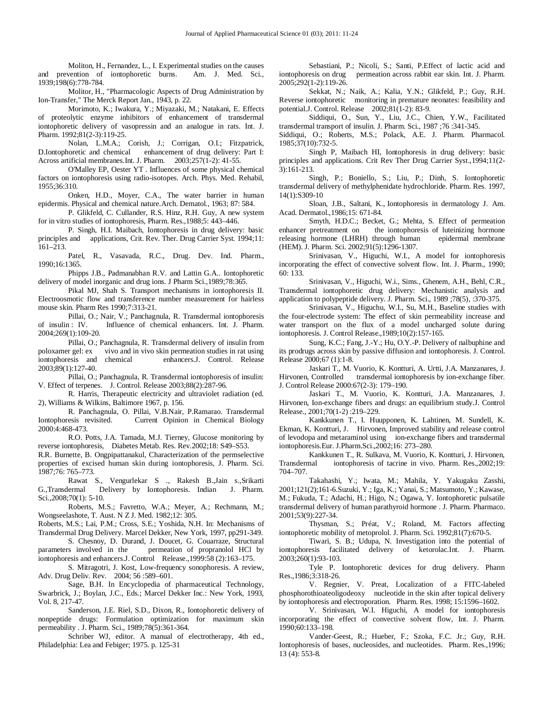Moliton, H., Fernandez, L., I. Experimental studies on the causes<br>vention of iontophoretic burns. Am. J. Med. Sci., and prevention of iontophoretic burns. 1939;198(6):778-784.

Molitor, H., "Pharmacologic Aspects of Drug Administration by Ion-Transfer," The Merck Report Jan., 1943, p. 22.

Morimoto, K.; Iwakura, Y.; Miyazaki, M.; Natakani, E. Effects of proteolytic enzyme inhibitors of enhancement of transdermal iontophoretic delivery of vasopressin and an analogue in rats. Int. J. Pharm. 1992;81(2-3):119-25.

Nolan, L.M.A.; Corish, J.; Corrigan, O.I.; Fitzpatrick, D.Iontophoretic and chemical enhancement of drug delivery: Part I: Across artificial membranes.Int. J. Pharm. 2003;257(1-2): 41-55.

O'Malley EP, Oester YT . Influences of some physical chemical factors on iontophoresis using radio-isotopes. Arch. Phys. Med. Rehabil, 1955;36:310.

Onken, H.D., Moyer, C.A., The water barrier in human epidermis. Physical and chemical nature.Arch. Dematol., 1963; 87: 584.

P. Glikfeld, C. Cullander, R.S. Hinz, R.H. Guy, A new system for in vitro studies of iontophoresis, Pharm. Res.,1988;5: 443–446.

 P. Singh, H.I. Maibach, Iontophoresis in drug delivery: basic principles and applications, Crit. Rev. Ther. Drug Carrier Syst. 1994;11: 161–213.

Patel, R., Vasavada, R.C., Drug. Dev. Ind. Pharm., 1990;16:1365.

Phipps J.B., Padmanabhan R.V. and Lattin G.A.. Iontophoretic delivery of model inorganic and drug ions. J Pharm Sci.,1989;78:365.

Pikal MJ, Shah S. Transport mechanisms in iontophoresis II. Electroosmotic flow and transference number measurement for hairless mouse skin. Pharm Res 1990;7:313-21.

Pillai, O.; Nair, V.; Panchagnula, R. Transdermal iontophoresis of insulin : IV. Influence of chemical enhancers. Int. J. Pharm. Influence of chemical enhancers. Int. J. Pharm. 2004;269(1):109-20.

Pillai, O.; Panchagnula, R. Transdermal delivery of insulin from poloxamer gel: ex vivo and in vivo skin permeation studies in rat using vivo and in vivo skin permeation studies in rat using iontophoresis and chemical enhancers.J. Control. Release 2003;89(1):127-40.

Pillai, O.; Panchagnula, R. Transdermal iontophoresis of insulin: V. Effect of terpenes. J. Control. Release 2003;88(2):287-96.

R. Harris, Therapeutic electricity and ultraviolet radiation (ed. 2), Williams & Wilkins, Baltimore 1967, p. 156.

R. Panchagnula, O. Pillai, V.B.Nair, P.Ramarao. Transdermal Iontophoresis revisited. Current Opinion in Chemical Biology Current Opinion in Chemical Biology 2000:4:468-473.

R.O. Potts, J.A. Tamada, M.J. Tierney, Glucose monitoring by reverse iontophoresis, Diabetes Metab. Res. Rev.2002;18: S49–S53.

R.R. Burnette, B. Ongpipattanakul, Characterization of the permselective properties of excised human skin during iontophoresis, J. Pharm. Sci. 1987;76: 765–773.

Rawat S., Vengurlekar S ., Rakesh B.,Jain s.,Srikarti G.,Transdermal Delivery by Iontophoresis. Indian J. Pharm. Sci.,2008;70(1): 5-10.

Roberts, M.S.; Favretto, W.A.; Meyer, A.; Rechmann, M.; Wongseelashote, T. Aust. N Z J. Med. 1982;12: 305.

Roberts, M.S.; Lai, P.M.; Cross, S.E.; Yoshida, N.H. In: Mechanisms of Transdermal Drug Delivery. Marcel Dekker, New York, 1997, pp291-349.

S. Chesnoy, D. Durand, J. Doucet, G. Couarraze, Structural parameters involved in the permeation of propranolol HCl by permeation of propranolol HCl by iontophoresis and enhancers.J. Control Release.,1999:58 (2):163–175.

S. Mitragotri, J. Kost, Low-frequency sonophoresis. A review, Adv. Drug Deliv. Rev. 2004; 56 :589–601.

Sage, B.H. In Encyclopedia of pharmaceutical Technology, Swarbrick, J.; Boylan, J.C., Eds.; Marcel Dekker Inc.: New York, 1993, Vol. 8, 217-47.

Sanderson, J.E. Riel, S.D., Dixon, R., Iontophoretic delivery of nonpeptide drugs: Formulation optimization for maximum skin permeability . J. Pharm. Sci., 1989;78(5):361-364.

Schriber WJ, editor. A manual of electrotherapy, 4th ed., Philadelphia: Lea and Febiger; 1975. p. 125-31

Sebastiani, P.; Nicoli, S.; Santi, P.Effect of lactic acid and iontophoresis on drug permeation across rabbit ear skin. Int. J. Pharm. 2005;292(1-2):119-26.

Sekkat, N.; Naik, A.; Kalia, Y.N.; Glikfeld, P.; Guy, R.H. Reverse iontophoretic monitoring in premature neonates: feasibility and potential.J. Control. Release 2002;81(1-2): 83-9.

Siddiqui, O., Sun, Y., Liu, J.C., Chien, Y.W., Facilitated transdermal transport of insulin. J. Pharm. Sci., 1987 ;76 :341-345.

Siddiqui, O.; Roberts, M.S.; Polack, A.E. J. Pharm. Pharmacol. 1985;37(10):732-5.

Singh P, Maibach HI, Iontophoresis in drug delivery: basic principles and applications. Crit Rev Ther Drug Carrier Syst.,1994;11(2- 3):161-213.

Singh, P.; Boniello, S.; Liu, P.; Dinh, S. Iontophoretic transdermal delivery of methylphenidate hydrochloride. Pharm. Res. 1997, 14(1):S309-10

Sloan, J.B., Saltani, K., Iontophoresis in dermatology J. Am. Acad. Dermatol.,1986;15: 671-84.

Smyth, H.D.C.; Becket, G.; Mehta, S. Effect of permeation enhancer pretreatment on the iontophoresis of luteinizing hormone the iontophoresis of luteinizing hormone<br>through human epidermal membrane releasing hormone (LHRH) through human (HEM). J. Pharm. Sci. 2002;91(5):1296-1307.

Srinivasan, V., Higuchi, W.I., A model for iontophoresis incorporating the effect of convective solvent flow. Int. J. Pharm., 1990; 60: 133.

Srinivasan, V., Higuchi, W.i., Sims., Ghenem, A.H., Behl, C.R., Transdermal iontophoretic drug delivery: Mechanistic analysis and application to polypeptide delivery. J. Pharm. Sci., 1989 ;78(5), :370-375.

Srinivasan, V., Higuchu, W.I., Su, M.H., Baseline studies with the four-electrode system: The effect of skin permeability increase and water transport on the flux of a model uncharged solute during iontophoresis. J. Control Release.,1989;10(2):157-165.

Sung, K.C.; Fang, J.-Y.; Hu, O.Y.-P. Delivery of nalbuphine and its prodrugs across skin by passive diffusion and iontophoresis. J. Control. Release 2000;67 (1):1-8.

 Jaskari T., M. Vuorio, K. Kontturi, A. Urtti, J.A. Manzanares, J. Hirvonen, Controlled transdermal iontophoresis by ion-exchange fiber. J. Control Release 2000:67(2-3): 179–190.

Jaskari T., M. Vuorio, K. Kontturi, J.A. Manzanares, J. Hirvonen, Ion-exchange fibers and drugs: an equilibrium study.J. Control Release., 2001;70(1-2) :219–229.

Kankkunen T., I. Huupponen, K. Lahtinen, M. Sundell, K. Ekman, K. Kontturi, J. Hirvonen, Improved stability and release control of levodopa and metaraminol using ion-exchange fibers and transdermal iontophoresis.Eur. J.Pharm.Sci.,2002;16: 273–280.

Kankkunen T., R. Sulkava, M. Vuorio, K. Kontturi, J. Hirvonen, Transdermal iontophoresis of tacrine in vivo. Pharm. Res.,2002;19: iontophoresis of tacrine in vivo. Pharm. Res.,2002;19: 704–707.

Takahashi, Y.; Iwata, M.; Mahila, Y. Yakugaku Zasshi, 2001;121(2);161-6.Suzuki, Y.; Iga, K.; Yanai, S.; Matsumoto, Y.; Kawase, M.; Fukuda, T.; Adachi, H.; Higo, N.; Ogawa, Y. Iontophoretic pulsatile transdermal delivery of human parathyroid hormone . J. Pharm. Pharmaco. 2001;53(9):227-34.

Thysman, S.; Préat, V.; Roland, M. Factors affecting iontophoretic mobility of metoprolol. J. Pharm. Sci. 1992;81(7):670-5.

Tiwari, S. B.; Udupa, N. Investigation into the potential of iontophoresis facilitated delivery of ketorolac.Int. J. Pharm. 2003;260(1):93-103.

Tyle P. Iontophoretic devices for drug delivery. Pharm Res.,1986;3:318-26.

V. Regnier, V. Preat, Localization of a FITC-labeled phosphorothioateoligodeoxy nucleotide in the skin after topical delivery by iontophoresis and electroporation. Pharm. Res. 1998; 15:1596–1602.

V. Srinivasan, W.I. Higuchi, A model for iontophoresis incorporating the effect of convective solvent flow, Int. J. Pharm. 1990;60:133–198.

Vander-Geest, R.; Hueber, F.; Szoka, F.C. Jr.; Guy, R.H. Iontophoresis of bases, nucleosides, and nucleotides. Pharm. Res.,1996; 13 (4): 553-8.